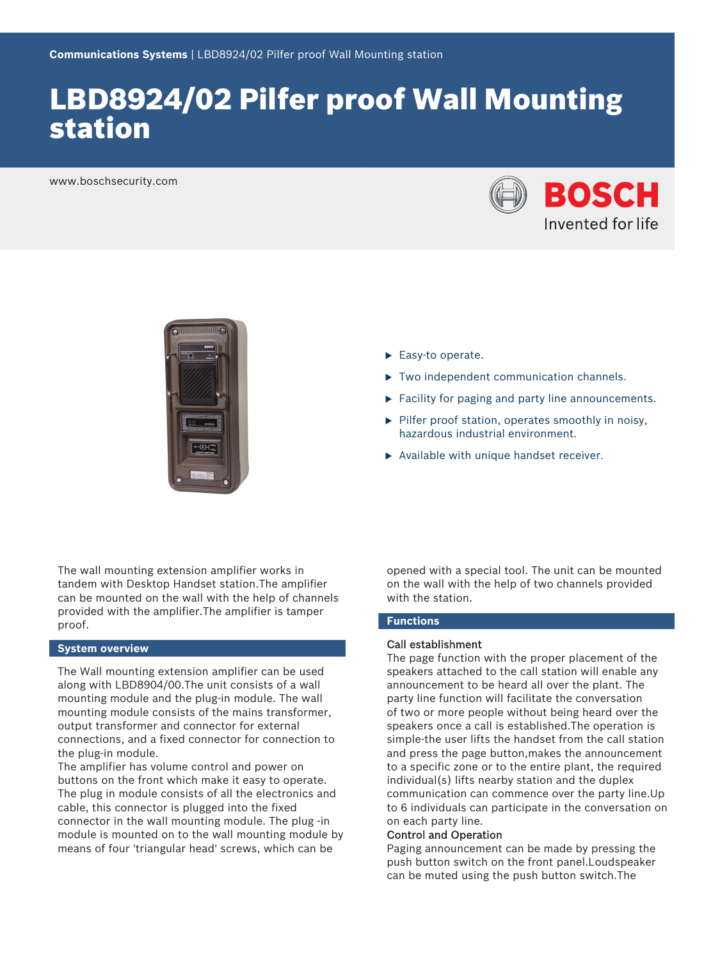# LBD8924/02 Pilfer proof Wall Mounting station

www.boschsecurity.com





- $\blacktriangleright$  Easy-to operate.
- $\triangleright$  Two independent communication channels.
- $\blacktriangleright$  Facility for paging and party line announcements.
- $\blacktriangleright$  Pilfer proof station, operates smoothly in noisy, hazardous industrial environment.
- $\blacktriangleright$  Available with unique handset receiver.

The wall mounting extension amplifier works in tandem with Desktop Handset station.The amplifier can be mounted on the wall with the help of channels provided with the amplifier.The amplifier is tamper proof.

#### **System overview**

The Wall mounting extension amplifier can be used along with LBD8904/00.The unit consists of a wall mounting module and the plug-in module. The wall mounting module consists of the mains transformer, output transformer and connector for external connections, and a fixed connector for connection to the plug-in module.

The amplifier has volume control and power on buttons on the front which make it easy to operate. The plug in module consists of all the electronics and cable, this connector is plugged into the fixed connector in the wall mounting module. The plug -in module is mounted on to the wall mounting module by means of four 'triangular head' screws, which can be

opened with a special tool. The unit can be mounted on the wall with the help of two channels provided with the station.

#### **Functions**

#### Call establishment

The page function with the proper placement of the speakers attached to the call station will enable any announcement to be heard all over the plant. The party line function will facilitate the conversation of two or more people without being heard over the speakers once a call is established.The operation is simple-the user lifts the handset from the call station and press the page button,makes the announcement to a specific zone or to the entire plant, the required individual(s) lifts nearby station and the duplex communication can commence over the party line.Up to 6 individuals can participate in the conversation on on each party line.

#### Control and Operation

Paging announcement can be made by pressing the push button switch on the front panel.Loudspeaker can be muted using the push button switch.The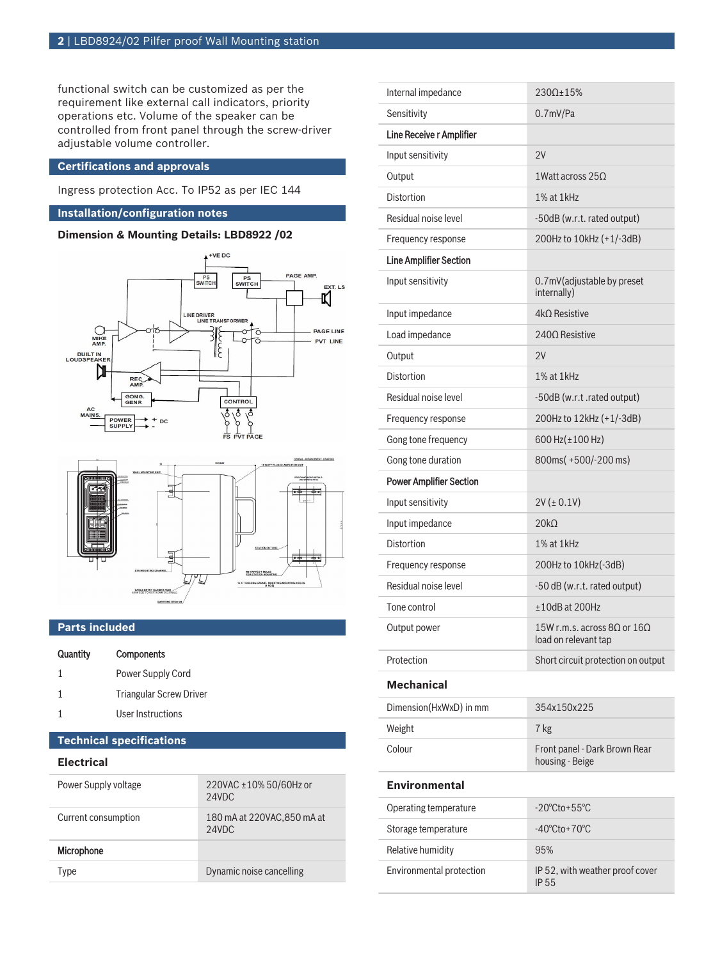functional switch can be customized as per the requirement like external call indicators, priority operations etc. Volume of the speaker can be controlled from front panel through the screw-driver adjustable volume controller.

### **Certifications and approvals**

Ingress protection Acc. To IP52 as per IEC 144

### **Installation/configuration notes**

## **Dimension & Mounting Details: LBD8922 /02**





### **Parts included**

| Quantity | <b>Components</b>              |
|----------|--------------------------------|
| 1        | Power Supply Cord              |
| 1        | <b>Triangular Screw Driver</b> |
|          | User Instructions              |

# **Technical specifications**

# **Electrical**

| Type                 |                                      |
|----------------------|--------------------------------------|
| Microphone           |                                      |
| Current consumption  | 180 mA at 220VAC, 850 mA at<br>24VDC |
| Power Supply voltage | 220VAC ±10% 50/60Hz or<br>24VDC      |

| Internal impedance             | 230Ω±15%                                                            |  |
|--------------------------------|---------------------------------------------------------------------|--|
| Sensitivity                    | $0.7$ mV/Pa                                                         |  |
| Line Receive r Amplifier       |                                                                     |  |
| Input sensitivity              | 2V                                                                  |  |
| Output                         | 1Watt across $25\Omega$                                             |  |
| <b>Distortion</b>              | 1% at 1kHz                                                          |  |
| Residual noise level           | -50dB (w.r.t. rated output)                                         |  |
| Frequency response             | 200Hz to 10kHz (+1/-3dB)                                            |  |
| <b>Line Amplifier Section</b>  |                                                                     |  |
| Input sensitivity              | 0.7mV(adjustable by preset<br>internally)                           |  |
| Input impedance                | $4k\Omega$ Resistive                                                |  |
| Load impedance                 | $240\Omega$ Resistive                                               |  |
| Output                         | 2V                                                                  |  |
| <b>Distortion</b>              | 1% at 1kHz                                                          |  |
| Residual noise level           | -50dB (w.r.t .rated output)                                         |  |
| Frequency response             | 200Hz to 12kHz (+1/-3dB)                                            |  |
| Gong tone frequency            | 600 Hz(±100 Hz)                                                     |  |
| Gong tone duration             | 800ms(+500/-200 ms)                                                 |  |
| <b>Power Amplifier Section</b> |                                                                     |  |
| Input sensitivity              | $2V (\pm 0.1V)$                                                     |  |
| Input impedance                | 20k <sub>0</sub>                                                    |  |
| <b>Distortion</b>              | 1% at 1kHz                                                          |  |
| Frequency response             | 200Hz to 10kHz(-3dB)                                                |  |
| Residual noise level           | -50 dB (w.r.t. rated output)                                        |  |
| Tone control                   | ±10dB at 200Hz                                                      |  |
| Output power                   | 15W r.m.s. across 8 $\Omega$ or 16 $\Omega$<br>load on relevant tap |  |
| Protection                     | Short circuit protection on output                                  |  |
| <b>Mechanical</b>              |                                                                     |  |
| Dimension(HxWxD) in mm         | 354x150x225                                                         |  |
| Weight                         | 7 kg                                                                |  |
| Colour                         | Front panel - Dark Brown Rear<br>housing - Beige                    |  |
| <b>Environmental</b>           |                                                                     |  |
| Operating temperature          | $-20^{\circ}$ Cto+55 $^{\circ}$ C                                   |  |
| Storage temperature            | $-40^{\circ}$ Cto + $70^{\circ}$ C                                  |  |
| Relative humidity              | 95%                                                                 |  |
| Environmental protection       | IP 52, with weather proof cover<br>IP 55                            |  |